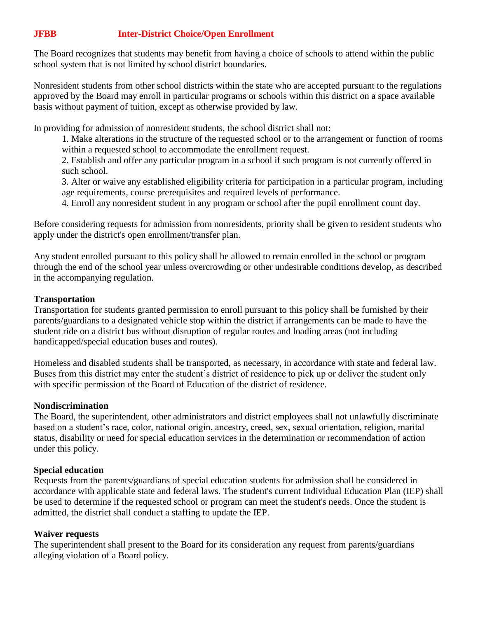# **JFBB Inter-District Choice/Open Enrollment**

The Board recognizes that students may benefit from having a choice of schools to attend within the public school system that is not limited by school district boundaries.

Nonresident students from other school districts within the state who are accepted pursuant to the regulations approved by the Board may enroll in particular programs or schools within this district on a space available basis without payment of tuition, except as otherwise provided by law.

In providing for admission of nonresident students, the school district shall not:

1. Make alterations in the structure of the requested school or to the arrangement or function of rooms within a requested school to accommodate the enrollment request.

2. Establish and offer any particular program in a school if such program is not currently offered in such school.

3. Alter or waive any established eligibility criteria for participation in a particular program, including age requirements, course prerequisites and required levels of performance.

4. Enroll any nonresident student in any program or school after the pupil enrollment count day.

Before considering requests for admission from nonresidents, priority shall be given to resident students who apply under the district's open enrollment/transfer plan.

Any student enrolled pursuant to this policy shall be allowed to remain enrolled in the school or program through the end of the school year unless overcrowding or other undesirable conditions develop, as described in the accompanying regulation.

## **Transportation**

Transportation for students granted permission to enroll pursuant to this policy shall be furnished by their parents/guardians to a designated vehicle stop within the district if arrangements can be made to have the student ride on a district bus without disruption of regular routes and loading areas (not including handicapped/special education buses and routes).

Homeless and disabled students shall be transported, as necessary, in accordance with state and federal law. Buses from this district may enter the student's district of residence to pick up or deliver the student only with specific permission of the Board of Education of the district of residence.

## **Nondiscrimination**

The Board, the superintendent, other administrators and district employees shall not unlawfully discriminate based on a student's race, color, national origin, ancestry, creed, sex, sexual orientation, religion, marital status, disability or need for special education services in the determination or recommendation of action under this policy.

## **Special education**

Requests from the parents/guardians of special education students for admission shall be considered in accordance with applicable state and federal laws. The student's current Individual Education Plan (IEP) shall be used to determine if the requested school or program can meet the student's needs. Once the student is admitted, the district shall conduct a staffing to update the IEP.

### **Waiver requests**

The superintendent shall present to the Board for its consideration any request from parents/guardians alleging violation of a Board policy.